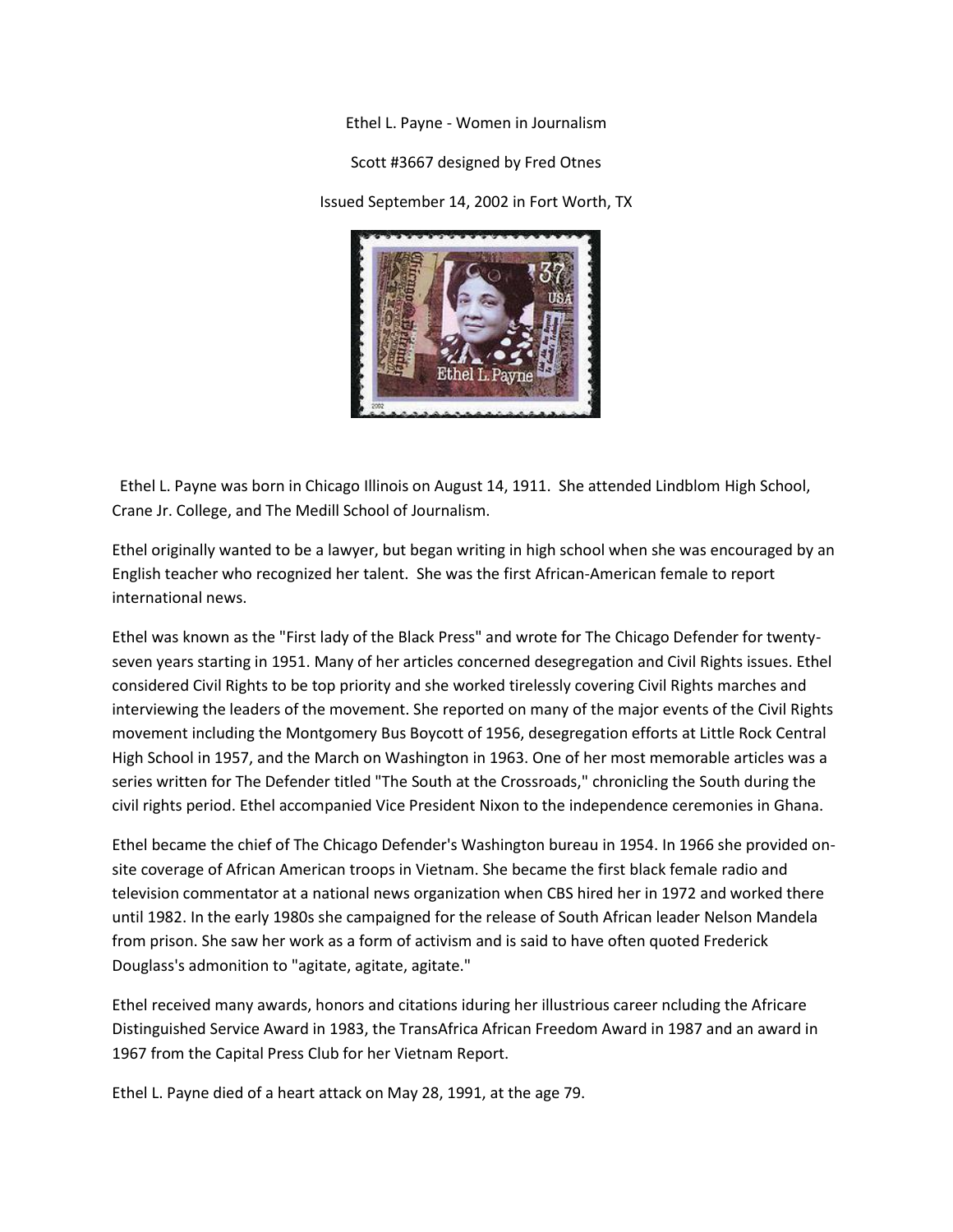Ethel L. Payne - Women in Journalism

Scott #3667 designed by Fred Otnes

Issued September 14, 2002 in Fort Worth, TX



 Ethel L. Payne was born in Chicago Illinois on August 14, 1911. She attended Lindblom High School, Crane Jr. College, and The Medill School of Journalism.

Ethel originally wanted to be a lawyer, but began writing in high school when she was encouraged by an English teacher who recognized her talent. She was the first African-American female to report international news.

Ethel was known as the "First lady of the Black Press" and wrote for The Chicago Defender for twentyseven years starting in 1951. Many of her articles concerned desegregation and Civil Rights issues. Ethel considered Civil Rights to be top priority and she worked tirelessly covering Civil Rights marches and interviewing the leaders of the movement. She reported on many of the major events of the Civil Rights movement including the Montgomery Bus Boycott of 1956, desegregation efforts at Little Rock Central High School in 1957, and the March on Washington in 1963. One of her most memorable articles was a series written for The Defender titled "The South at the Crossroads," chronicling the South during the civil rights period. Ethel accompanied Vice President Nixon to the independence ceremonies in Ghana.

Ethel became the chief of The Chicago Defender's Washington bureau in 1954. In 1966 she provided onsite coverage of African American troops in Vietnam. She became the first black female radio and television commentator at a national news organization when CBS hired her in 1972 and worked there until 1982. In the early 1980s she campaigned for the release of South African leader Nelson Mandela from prison. She saw her work as a form of activism and is said to have often quoted Frederick Douglass's admonition to "agitate, agitate, agitate."

Ethel received many awards, honors and citations iduring her illustrious career ncluding the Africare Distinguished Service Award in 1983, the TransAfrica African Freedom Award in 1987 and an award in 1967 from the Capital Press Club for her Vietnam Report.

Ethel L. Payne died of a heart attack on May 28, 1991, at the age 79.